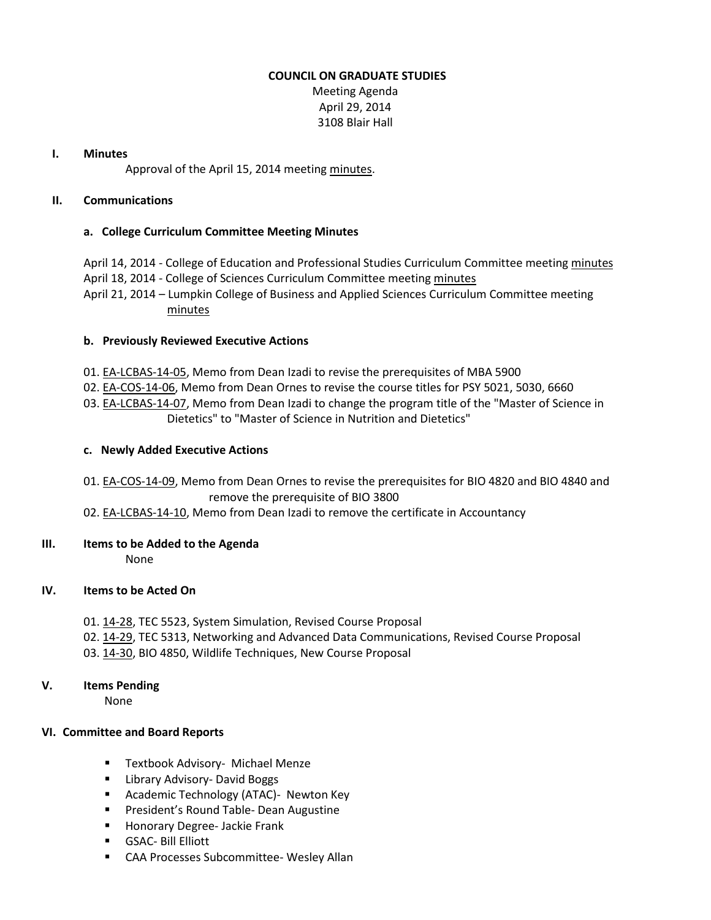# **COUNCIL ON GRADUATE STUDIES**

Meeting Agenda April 29, 2014 3108 Blair Hall

## **I. Minutes**

Approval of the April 15, 2014 meeting [minutes.](http://castle.eiu.edu/eiucgs/currentminutes/Minutes04-15-14.pdf)

# **II. Communications**

## **a. College Curriculum Committee Meeting Minutes**

April 14, 2014 - College of Education and Professional Studies Curriculum Committee meeting [minutes](http://castle.eiu.edu/~eiucgs/currentagendaitems/CEPSMin04-14-14.pdf) April 18, 2014 - College of Sciences Curriculum Committee meetin[g minutes](http://castle.eiu.edu/~eiucgs/currentagendaitems/COSMin04-18-14.pdf) April 21, 2014 – Lumpkin College of Business and Applied Sciences Curriculum Committee meeting [minutes](http://castle.eiu.edu/~eiucgs/currentagendaitems/LCBASMin04-21-14.pdf)

## **b. Previously Reviewed Executive Actions**

- 01[. EA-LCBAS-14-05,](http://castle.eiu.edu/~eiucgs/exec-actions/EA-LCBAS-14-05.pdf) Memo from Dean Izadi to revise the prerequisites of MBA 5900
- 02[. EA-COS-14-06,](http://castle.eiu.edu/~eiucgs/exec-actions/EA-COS-14-06.pdf) Memo from Dean Ornes to revise the course titles for PSY 5021, 5030, 6660
- 03[. EA-LCBAS-14-07,](http://castle.eiu.edu/~eiucgs/exec-actions/EA-LCBAS-14-07.pdf) Memo from Dean Izadi to change the program title of the "Master of Science in Dietetics" to "Master of Science in Nutrition and Dietetics"

## **c. Newly Added Executive Actions**

- 01[. EA-COS-14-09,](http://castle.eiu.edu/~eiucgs/exec-actions/EA-COS-14-09.pdf) Memo from Dean Ornes to revise the prerequisites for BIO 4820 and BIO 4840 and remove the prerequisite of BIO 3800
- 02[. EA-LCBAS-14-10,](http://castle.eiu.edu/~eiucgs/exec-actions/EA-LCBAS-14-10.pdf) Memo from Dean Izadi to remove the certificate in Accountancy

#### **III. Items to be Added to the Agenda**

None

# **IV. Items to be Acted On**

- 01[. 14-28,](http://castle.eiu.edu/~eiucgs/currentagendaitems/agenda14-28.pdf) TEC 5523, System Simulation, Revised Course Proposal
- 02[. 14-29,](http://castle.eiu.edu/~eiucgs/currentagendaitems/agenda14-29.pdf) TEC 5313, Networking and Advanced Data Communications, Revised Course Proposal
- 03[. 14-30,](http://castle.eiu.edu/~eiucgs/currentagendaitems/agenda14-30.pdf) BIO 4850, Wildlife Techniques, New Course Proposal

# **V. Items Pending**

None

# **VI. Committee and Board Reports**

- **Textbook Advisory- Michael Menze**
- **E** Library Advisory- David Boggs
- **Academic Technology (ATAC)- Newton Key**
- **Paramer's Round Table- Dean Augustine**
- **Honorary Degree- Jackie Frank**
- GSAC- Bill Elliott
- CAA Processes Subcommittee- Wesley Allan